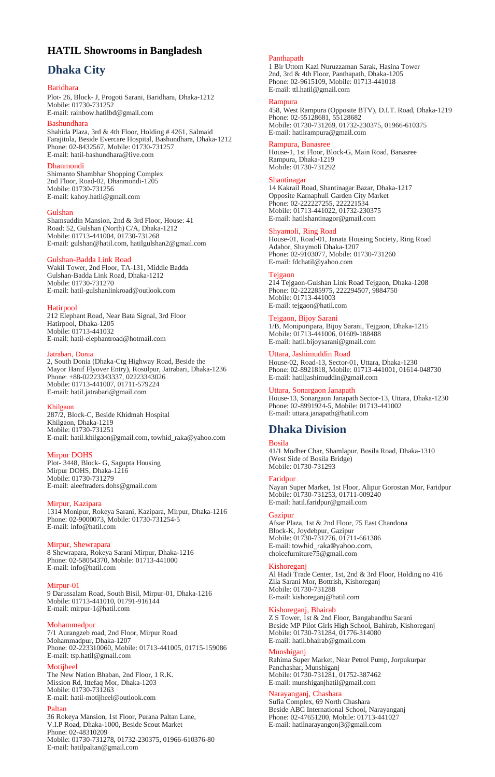# **HATIL Showrooms in Bangladesh**

# **Dhaka City**

### Baridhara

Plot- 26, Block- J, Progoti Sarani, Baridhara, Dhaka-1212 Mobile: 01730-731252 E-mail: rainbow.hatilbd@gmail.com

### Bashundhara

Shahida Plaza, 3rd & 4th Floor, Holding # 4261, Salmaid Farajitola, Beside Evercare Hospital, Bashundhara, Dhaka-1212 Phone: 02-8432567, Mobile: 01730-731257 E-mail: hatil-bashundhara@live.com

### nondi

Shimanto Shambhar Shopping Complex 2nd Floor, Road-02, Dhanmondi-1205 Mobile: 01730-731256 E-mail: kahoy.hatil@gmail.com

### Gulshan

Shamsuddin Mansion, 2nd & 3rd Floor, House: 41 Road: 52, Gulshan (North) C/A, Dhaka-1212 Mobile: 01713-441004, 01730-731268 E-mail: gulshan@hatil.com, hatilgulshan2@gmail.com

### Gulshan-Badda Link Road

Wakil Tower, 2nd Floor, TA-131, Middle Badda Gulshan-Badda Link Road, Dhaka-1212 Mobile: 01730-731270 E-mail: hatil-gulshanlinkroad@outlook.com

### **Hatirpool**

212 Elephant Road, Near Bata Signal, 3rd Floor Hatirpool, Dhaka-1205 Mobile: 01713-441032 E-mail: hatil-elephantroad@hotmail.com

### Jatrabari, Donia

2, South Donia (Dhaka-Ctg Highway Road, Beside the Mayor Hanif Flyover Entry), Rosulpur, Jatrabari, Dhaka-1236 Phone: +88-02223343337, 02223343026 Mobile: 01713-441007, 01711-579224 E-mail: hatil.jatrabari@gmail.com

Khilgaon 287/2, Block-C, Beside Khidmah Hospital Khilgaon, Dhaka-1219 Mobile: 01730-731251 E-mail: hatil.khilgaon@gmail.com, towhid\_raka@yahoo.com

### Mirpur DOHS

Plot- 3448, Block- G, Sagupta Housing Mirpur DOHS, Dhaka-1216 Mobile: 01730-731279 E-mail: aleeftraders.dohs@gmail.com

### Mirpur, Kazipara

1314 Monipur, Rokeya Sarani, Kazipara, Mirpur, Dhaka-1216 Phone: 02-9000073, Mobile: 01730-731254-5 E-mail: info@hatil.com

# Mirpur, Shewrapara

8 Shewrapara, Rokeya Sarani Mirpur, Dhaka-1216 Phone: 02-58054370, Mobile: 01713-441000 E-mail: info@hatil.com

### Mirpur-01

9 Darussalam Road, South Bisil, Mirpur-01, Dhaka-1216 Mobile: 01713-441010, 01791-916144 E-mail: mirpur-1@hatil.com

### Mohammadpur

7/1 Aurangzeb road, 2nd Floor, Mirpur Road Mohammadpur, Dhaka-1207 Phone: 02-223310060, Mobile: 01713-441005, 01715-159086 E-mail: tsp.hatil@gmail.com

# Motijheel

The New Nation Bhaban, 2nd Floor, 1 R.K. Mission Rd, Ittefaq Mor, Dhaka-1203 Mobile: 01730-731263 E-mail: hatil-motijheel@outlook.com

# Paltan

36 Rokeya Mansion, 1st Floor, Purana Paltan Lane, V.I.P Road, Dhaka-1000, Beside Scout Market Phone: 02-48310209 Mobile: 01730-731278, 01732-230375, 01966-610376-80 E-mail: hatilpaltan@gmail.com

# Panthapath

1 Bir Uttom Kazi Nuruzzaman Sarak, Hasina Tower 2nd, 3rd & 4th Floor, Panthapath, Dhaka-1205 Phone: 02-9615109, Mobile: 01713-441018 E-mail: ttl.hatil@gmail.com

#### Rampura

458, West Rampura (Opposite BTV), D.I.T. Road, Dhaka-1219 Phone: 02-55128681, 55128682 Mobile: 01730-731269, 01732-230375, 01966-610375 E-mail: hatilrampura@gmail.com

# Rampura, Banasree

House-1, 1st Floor, Block-G, Main Road, Banasree Rampura, Dhaka-1219 Mobile: 01730-731292

### Shantinagar

14 Kakrail Road, Shantinagar Bazar, Dhaka-1217 Opposite Karnaphuli Garden City Market Phone: 02-222227255, 222221534 Mobile: 01713-441022, 01732-230375 E-mail: hatilshantinagor@gmail.com

### Shyamoli, Ring Road

House-01, Road-01, Janata Housing Society, Ring Road Adabor, Shaymoli Dhaka-1207 Phone: 02-9103077, Mobile: 01730-731260 E-mail: fdchatil@yahoo.com

### Tejgaon

214 Tejgaon-Gulshan Link Road Tejgaon, Dhaka-1208 Phone: 02-222285975, 222294507, 9884750 Mobile: 01713-441003 E-mail: tejgaon@hatil.com

### Tejgaon, Bijoy Sarani

1/B, Monipuripara, Bijoy Sarani, Tejgaon, Dhaka-1215 Mobile: 01713-441006, 01609-188488 E-mail: hatil.bijoysarani@gmail.com

# Uttara, Jashimuddin Road

House-02, Road-13, Sector-01, Uttara, Dhaka-1230 Phone: 02-8921818, Mobile: 01713-441001, 01614-048730 E-mail: hatiljashimuddin@gmail.com

# Uttara, Sonargaon Janapath

House-13, Sonargaon Janapath Sector-13, Uttara, Dhaka-1230 Phone: 02-8991924-5, Mobile: 01713-441002 E-mail: uttara.janapath@hatil.com

# **Dhaka Division**

#### Bosila

41/1 Modher Char, Shamlapur, Bosila Road, Dhaka-1310 (West Side of Bosila Bridge) Mobile: 01730-731293

#### Faridpur

Nayan Super Market, 1st Floor, Alipur Gorostan Mor, Faridpur Mobile: 01730-731253, 01711-009240 E-mail[: hatil.faridpur@gmail.com](mailto:hatil.faridpur@gmail.com)

### Gazipur

Afsar Plaza, 1st & 2nd Floor, 75 East Chandona Block-K, Joydebpur, Gazipur Mobile: 01730-731276, 01711-661386 E-mail: [towhid\\_raka@yahoo.com](mailto:towhid_raka@yahoo.com), choicefurniture75@gmail.com

# Kishoreganj

Al Hadi Trade Center, 1st, 2nd & 3rd Floor, Holding no 416 Zila Sarani Mor, Bottrish, Kishoreganj Mobile: 01730-731288 E-mail[: kishoreganj@hatil.com](mailto:kishoreganj@hatil.com)

# Kishoreganj, Bhairab

Z S Tower, 1st & 2nd Floor, Bangabandhu Sarani Beside MP Pilot Girls High School, Bahirab, Kishoreganj Mobile: 01730-731284, 01776-314080 E-mail: hatil.bhairab@gmail.com

# Munshiganj

Rahima Super Market, Near Petrol Pump, Jorpukurpar Panchashar, Munshiganj Mobile: 01730-731281, 01752-387462 E-mail: munshiganjhatil@gmail.com

# Narayanganj, Chashara

Sufia Complex, 69 North Chashara Beside ABC International School, Narayanganj Phone: 02-47651200, Mobile: 01713-441027 E-mail: hatilnarayangonj3@gmail.com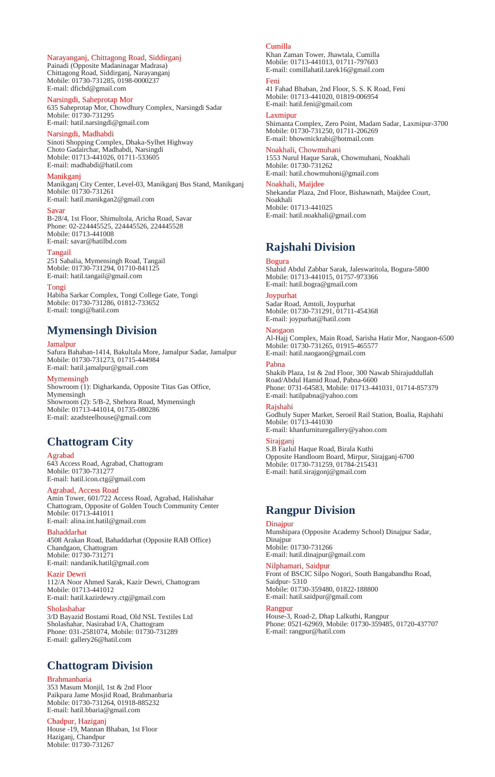## Narayanganj, Chittagong Road, Siddirganj

Painadi (Opposite Madaninagar Madrasa) Chittagong Road, Siddirganj, Narayanganj Mobile: 01730-731285, 0198-0000237 E-mail: dficbd@gmail.com

# Narsingdi, Saheprotap Mor

635 Saheprotap Mor, Chowdhury Complex, Narsingdi Sadar Mobile: 01730-731295 E-mail: hatil.narsingdi@gmail.com

# Narsingdi, Madhabdi

Sinoti Shopping Complex, Dhaka-Sylhet Highway Choto Gadairchar, Madhabdi, Narsingdi Mobile: 01713-441026, 01711-533605 E-mail: madhabdi@hatil.com

### Manikganj

Manikganj City Center, Level-03, Manikganj Bus Stand, Manikganj Mobile: 01730-731261 E-mail: hatil.manikgan2@gmail.com

#### Savar

B-28/4, 1st Floor, Shimultola, Aricha Road, Savar Phone: 02-224445525, 224445526, 224445528 Mobile: 01713-441008 E-mail: savar@hatilbd.com

### Tangail

251 Sabalia, Mymensingh Road, Tangail Mobile: 01730-731294, 01710-841125 E-mail: hatil.tangail@gmail.com

### Tongi

Habiba Sarkar Complex, Tongi College Gate, Tongi Mobile: 01730-731286, 01812-733652 E-mail: tongi@hatil.com

# **Mymensingh Division**

### Jamalpur

Safura Bahaban-1414, Bakultala More, Jamalpur Sadar, Jamalpur Mobile: 01730-731273, 01715-444984 E-mail: hatil.jamalpur@gmail.com

#### Mymensingh

Showroom (1): Digharkanda, Opposite Titas Gas Office, Mymensingh Showroom (2): 5/B-2, Shehora Road, Mymensingh Mobile: 01713-441014, 01735-080286 E-mail: azadsteelhouse@gmail.com

# **Chattogram City**

#### Agrabad

643 Access Road, Agrabad, Chattogram Mobile: 01730-731277 E-mail: hatil.icon.ctg@gmail.com

# Agrabad, Access Road

Amin Tower, 601/722 Access Road, Agrabad, Halishahar Chattogram, Opposite of Golden Touch Community Center Mobile: 01713-441011 E-mail: alina.int.hatil@gmail.com

# Bahaddarhat

4508 Arakan Road, Bahaddarhat (Opposite RAB Office) Chandgaon, Chattogram Mobile: 01730-731271 E-mail: nandanik.hatil@gmail.com

### Kazir Dewri

112/A Noor Ahmed Sarak, Kazir Dewri, Chattogram Mobile: 01713-441012 E-mail: hatil.kazirdewry.ctg@gmail.com

#### Sholashahar

3/D Bayazid Bostami Road, Old NSL Textiles Ltd Sholashahar, Nasirabad I/A, Chattogram Phone: 031-2581074, Mobile: 01730-731289 E-mail: gallery26@hatil.com

# **Chattogram Division**

# Brahmanbaria

353 Masum Monjil, 1st & 2nd Floor Paikpara Jame Mosjid Road, Brahmanbaria Mobile: 01730-731264, 01918-885232 E-mail: hatil.bbaria@gmail.com

# Chadpur, Haziganj

House -19, Mannan Bhaban, 1st Floor Haziganj, Chandpur Mobile: 01730-731267

### Cumilla

Khan Zaman Tower, Jhawtala, Cumilla Mobile: 01713-441013, 01711-797603 E-mail: comillahatil.tarek16@gmail.com

### Feni

41 Fahad Bhaban, 2nd Floor, S. S. K Road, Feni Mobile: 01713-441020, 01819-006954 E-mail: hatil.feni@gmail.com

### Laxmipur

Shimanta Complex, Zero Point, Madam Sadar, Laxmipur-3700 Mobile: 01730-731250, 01711-206269 E-mail: bhowmickrabi@hotmail.com

### Noakhali, Chowmuhar

1553 Nurul Haque Sarak, Chowmuhani, Noakhali Mobile: 01730-731262 E-mail: hatil.chowmuhoni@gmail.com

### Noakhali, Maijdee

Shekandar Plaza, 2nd Floor, Bishawnath, Maijdee Court, Noakhali Mobile: 01713-441025 E-mail: hatil.noakhali@gmail.com

# **Rajshahi Division**

Bogura Shahid Abdul Zabbar Sarak, Jaleswaritola, Bogura-5800 Mobile: 01713-441015, 01757-973366 E-mail: hatil.bogra@gmail.com

#### **Joypurhat**

Sadar Road, Amtoli, Joypurhat Mobile: 01730-731291, 01711-454368 E-mail: joypurhat@hatil.com

Naogaon Al-Hajj Complex, Main Road, Sarisha Hatir Mor, Naogaon-6500 Mobile: 01730-731265, 01915-465577 E-mail: hatil.naogaon@gmail.com

#### Pabna

Shakib Plaza, 1st & 2nd Floor, 300 Nawab Shirajuddullah Road/Abdul Hamid Road, Pabna-6600 Phone: 0731-64583, Mobile: 01713-441031, 01714-857379 E-mail: hatilpabna@yahoo.com

### Rajshahi

Godhuly Super Market, Seroeil Rail Station, Boalia, Rajshahi Mobile: 01713-441030 E-mail: khanfurnituregallery@yahoo.com

### Sirajgani

S.B Fazlul Haque Road, Birala Kuthi Opposite Handloom Board, Mirpur, Sirajganj-6700 Mobile: 01730-731259, 01784-215431 E-mail: hatil.sirajgonj@gmail.com

# **Rangpur Division**

# Dinajpur

Munshipara (Opposite Academy School) Dinajpur Sadar, Dinajpur Mobile: 01730-731266 E-mail: hatil.dinajpur@gmail.com

### Nilphamari, Saidpur

Front of BSCIC Silpo Nogori, South Bangabandhu Road, Saidpur- 5310 Mobile: 01730-359480, 01822-188800

E-mail: hatil.saidpur@gmail.com

# Rangpur

House-3, Road-2, Dhap Lalkuthi, Rangpur Phone: 0521-62969, Mobile: 01730-359485, 01720-437707 E-mail: rangpur@hatil.com